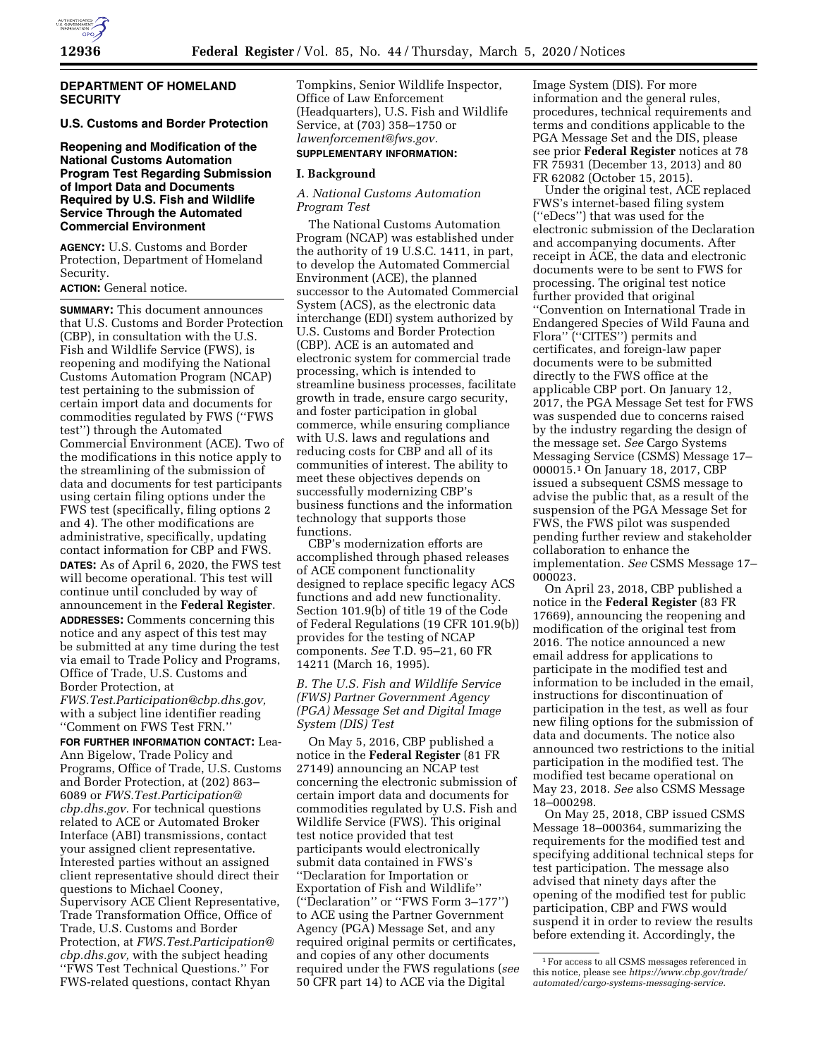

### **DEPARTMENT OF HOMELAND SECURITY**

## **U.S. Customs and Border Protection**

**Reopening and Modification of the National Customs Automation Program Test Regarding Submission of Import Data and Documents Required by U.S. Fish and Wildlife Service Through the Automated Commercial Environment** 

**AGENCY:** U.S. Customs and Border Protection, Department of Homeland Security.

#### **ACTION:** General notice.

**SUMMARY:** This document announces that U.S. Customs and Border Protection (CBP), in consultation with the U.S. Fish and Wildlife Service (FWS), is reopening and modifying the National Customs Automation Program (NCAP) test pertaining to the submission of certain import data and documents for commodities regulated by FWS (''FWS test'') through the Automated Commercial Environment (ACE). Two of the modifications in this notice apply to the streamlining of the submission of data and documents for test participants using certain filing options under the FWS test (specifically, filing options 2 and 4). The other modifications are administrative, specifically, updating contact information for CBP and FWS. **DATES:** As of April 6, 2020, the FWS test will become operational. This test will continue until concluded by way of announcement in the **Federal Register**. **ADDRESSES:** Comments concerning this notice and any aspect of this test may be submitted at any time during the test via email to Trade Policy and Programs, Office of Trade, U.S. Customs and Border Protection, at *[FWS.Test.Participation@cbp.dhs.gov,](mailto:FWS.Test.Participation@cbp.dhs.gov)* 

with a subject line identifier reading ''Comment on FWS Test FRN.''

**FOR FURTHER INFORMATION CONTACT:** Lea-Ann Bigelow, Trade Policy and Programs, Office of Trade, U.S. Customs and Border Protection, at (202) 863– 6089 or *[FWS.Test.Participation@](mailto:FWS.Test.Participation@cbp.dhs.gov) [cbp.dhs.gov.](mailto:FWS.Test.Participation@cbp.dhs.gov)* For technical questions related to ACE or Automated Broker Interface (ABI) transmissions, contact your assigned client representative. Interested parties without an assigned client representative should direct their questions to Michael Cooney, Supervisory ACE Client Representative, Trade Transformation Office, Office of Trade, U.S. Customs and Border Protection, at *[FWS.Test.Participation@](mailto:FWS.Test.Participation@cbp.dhs.gov) [cbp.dhs.gov,](mailto:FWS.Test.Participation@cbp.dhs.gov)* with the subject heading ''FWS Test Technical Questions.'' For FWS-related questions, contact Rhyan

Tompkins, Senior Wildlife Inspector, Office of Law Enforcement (Headquarters), U.S. Fish and Wildlife Service, at (703) 358–1750 or *[lawenforcement@fws.gov.](mailto:lawenforcement@fws.gov)* 

# **SUPPLEMENTARY INFORMATION:**

## **I. Background**

## *A. National Customs Automation Program Test*

The National Customs Automation Program (NCAP) was established under the authority of 19 U.S.C. 1411, in part, to develop the Automated Commercial Environment (ACE), the planned successor to the Automated Commercial System (ACS), as the electronic data interchange (EDI) system authorized by U.S. Customs and Border Protection (CBP). ACE is an automated and electronic system for commercial trade processing, which is intended to streamline business processes, facilitate growth in trade, ensure cargo security, and foster participation in global commerce, while ensuring compliance with U.S. laws and regulations and reducing costs for CBP and all of its communities of interest. The ability to meet these objectives depends on successfully modernizing CBP's business functions and the information technology that supports those functions.

CBP's modernization efforts are accomplished through phased releases of ACE component functionality designed to replace specific legacy ACS functions and add new functionality. Section 101.9(b) of title 19 of the Code of Federal Regulations (19 CFR 101.9(b)) provides for the testing of NCAP components. *See* T.D. 95–21, 60 FR 14211 (March 16, 1995).

## *B. The U.S. Fish and Wildlife Service (FWS) Partner Government Agency (PGA) Message Set and Digital Image System (DIS) Test*

On May 5, 2016, CBP published a notice in the **Federal Register** (81 FR 27149) announcing an NCAP test concerning the electronic submission of certain import data and documents for commodities regulated by U.S. Fish and Wildlife Service (FWS). This original test notice provided that test participants would electronically submit data contained in FWS's ''Declaration for Importation or Exportation of Fish and Wildlife'' (''Declaration'' or ''FWS Form 3–177'') to ACE using the Partner Government Agency (PGA) Message Set, and any required original permits or certificates, and copies of any other documents required under the FWS regulations (*see*  50 CFR part 14) to ACE via the Digital

Image System (DIS). For more information and the general rules, procedures, technical requirements and terms and conditions applicable to the PGA Message Set and the DIS, please see prior **Federal Register** notices at 78 FR 75931 (December 13, 2013) and 80 FR 62082 (October 15, 2015).

Under the original test, ACE replaced FWS's internet-based filing system (''eDecs'') that was used for the electronic submission of the Declaration and accompanying documents. After receipt in ACE, the data and electronic documents were to be sent to FWS for processing. The original test notice further provided that original ''Convention on International Trade in Endangered Species of Wild Fauna and Flora" ("CITES") permits and certificates, and foreign-law paper documents were to be submitted directly to the FWS office at the applicable CBP port. On January 12, 2017, the PGA Message Set test for FWS was suspended due to concerns raised by the industry regarding the design of the message set. *See* Cargo Systems Messaging Service (CSMS) Message 17– 000015.1 On January 18, 2017, CBP issued a subsequent CSMS message to advise the public that, as a result of the suspension of the PGA Message Set for FWS, the FWS pilot was suspended pending further review and stakeholder collaboration to enhance the implementation. *See* CSMS Message 17– 000023.

On April 23, 2018, CBP published a notice in the **Federal Register** (83 FR 17669), announcing the reopening and modification of the original test from 2016. The notice announced a new email address for applications to participate in the modified test and information to be included in the email, instructions for discontinuation of participation in the test, as well as four new filing options for the submission of data and documents. The notice also announced two restrictions to the initial participation in the modified test. The modified test became operational on May 23, 2018. *See* also CSMS Message 18–000298.

On May 25, 2018, CBP issued CSMS Message 18–000364, summarizing the requirements for the modified test and specifying additional technical steps for test participation. The message also advised that ninety days after the opening of the modified test for public participation, CBP and FWS would suspend it in order to review the results before extending it. Accordingly, the

<sup>1</sup>For access to all CSMS messages referenced in this notice, please see *[https://www.cbp.gov/trade/](https://www.cbp.gov/trade/automated/cargo-systems-messaging-service) [automated/cargo-systems-messaging-service.](https://www.cbp.gov/trade/automated/cargo-systems-messaging-service)*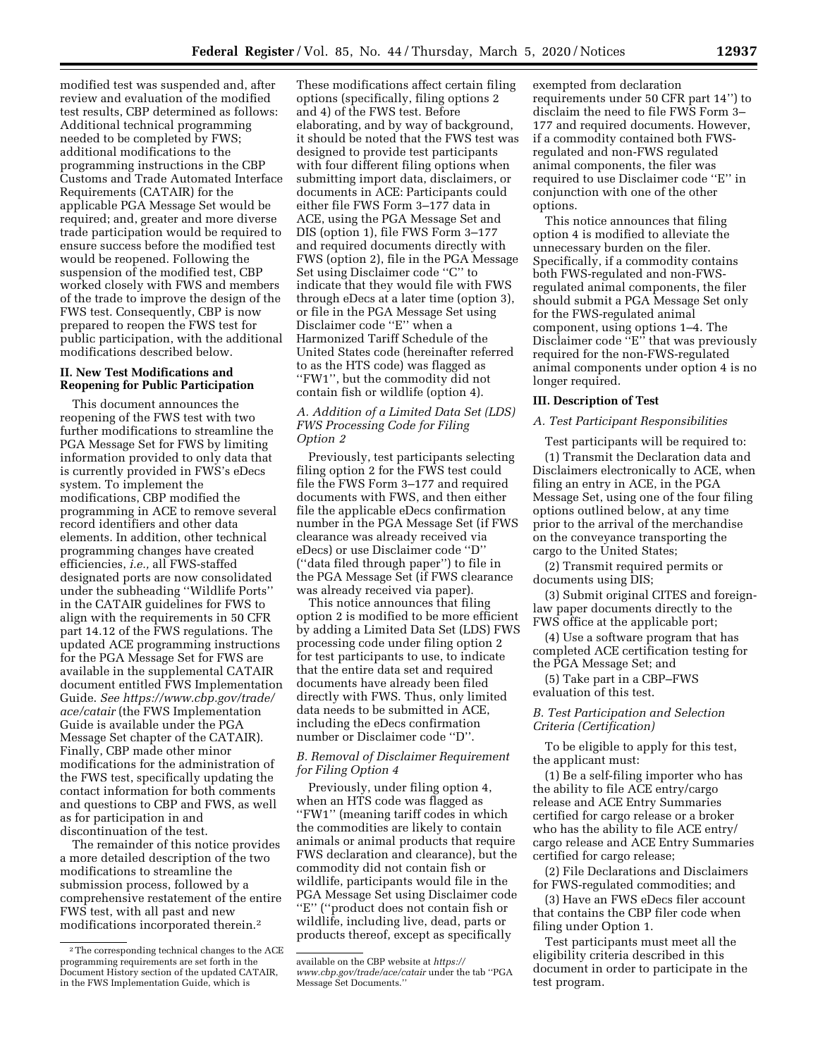modified test was suspended and, after review and evaluation of the modified test results, CBP determined as follows: Additional technical programming needed to be completed by FWS; additional modifications to the programming instructions in the CBP Customs and Trade Automated Interface Requirements (CATAIR) for the applicable PGA Message Set would be required; and, greater and more diverse trade participation would be required to ensure success before the modified test would be reopened. Following the suspension of the modified test, CBP worked closely with FWS and members of the trade to improve the design of the FWS test. Consequently, CBP is now prepared to reopen the FWS test for public participation, with the additional modifications described below.

#### **II. New Test Modifications and Reopening for Public Participation**

This document announces the reopening of the FWS test with two further modifications to streamline the PGA Message Set for FWS by limiting information provided to only data that is currently provided in FWS's eDecs system. To implement the modifications, CBP modified the programming in ACE to remove several record identifiers and other data elements. In addition, other technical programming changes have created efficiencies, *i.e.,* all FWS-staffed designated ports are now consolidated under the subheading ''Wildlife Ports'' in the CATAIR guidelines for FWS to align with the requirements in 50 CFR part 14.12 of the FWS regulations. The updated ACE programming instructions for the PGA Message Set for FWS are available in the supplemental CATAIR document entitled FWS Implementation Guide. *See [https://www.cbp.gov/trade/](https://www.cbp.gov/trade/ace/catair)  [ace/catair](https://www.cbp.gov/trade/ace/catair)* (the FWS Implementation Guide is available under the PGA Message Set chapter of the CATAIR). Finally, CBP made other minor modifications for the administration of the FWS test, specifically updating the contact information for both comments and questions to CBP and FWS, as well as for participation in and discontinuation of the test.

The remainder of this notice provides a more detailed description of the two modifications to streamline the submission process, followed by a comprehensive restatement of the entire FWS test, with all past and new modifications incorporated therein.2

These modifications affect certain filing options (specifically, filing options 2 and 4) of the FWS test. Before elaborating, and by way of background, it should be noted that the FWS test was designed to provide test participants with four different filing options when submitting import data, disclaimers, or documents in ACE: Participants could either file FWS Form 3–177 data in ACE, using the PGA Message Set and DIS (option 1), file FWS Form 3–177 and required documents directly with FWS (option 2), file in the PGA Message Set using Disclaimer code ''C'' to indicate that they would file with FWS through eDecs at a later time (option 3), or file in the PGA Message Set using Disclaimer code ''E'' when a Harmonized Tariff Schedule of the United States code (hereinafter referred to as the HTS code) was flagged as "FW1", but the commodity did not contain fish or wildlife (option 4).

### *A. Addition of a Limited Data Set (LDS) FWS Processing Code for Filing Option 2*

Previously, test participants selecting filing option 2 for the FWS test could file the FWS Form 3–177 and required documents with FWS, and then either file the applicable eDecs confirmation number in the PGA Message Set (if FWS clearance was already received via eDecs) or use Disclaimer code ''D'' (''data filed through paper'') to file in the PGA Message Set (if FWS clearance was already received via paper).

This notice announces that filing option 2 is modified to be more efficient by adding a Limited Data Set (LDS) FWS processing code under filing option 2 for test participants to use, to indicate that the entire data set and required documents have already been filed directly with FWS. Thus, only limited data needs to be submitted in ACE, including the eDecs confirmation number or Disclaimer code ''D''.

## *B. Removal of Disclaimer Requirement for Filing Option 4*

Previously, under filing option 4, when an HTS code was flagged as "FW1" (meaning tariff codes in which the commodities are likely to contain animals or animal products that require FWS declaration and clearance), but the commodity did not contain fish or wildlife, participants would file in the PGA Message Set using Disclaimer code ''E'' (''product does not contain fish or wildlife, including live, dead, parts or products thereof, except as specifically

exempted from declaration requirements under 50 CFR part 14'') to disclaim the need to file FWS Form 3– 177 and required documents. However, if a commodity contained both FWSregulated and non-FWS regulated animal components, the filer was required to use Disclaimer code ''E'' in conjunction with one of the other options.

This notice announces that filing option 4 is modified to alleviate the unnecessary burden on the filer. Specifically, if a commodity contains both FWS-regulated and non-FWSregulated animal components, the filer should submit a PGA Message Set only for the FWS-regulated animal component, using options 1–4. The Disclaimer code "E" that was previously required for the non-FWS-regulated animal components under option 4 is no longer required.

### **III. Description of Test**

#### *A. Test Participant Responsibilities*

Test participants will be required to: (1) Transmit the Declaration data and Disclaimers electronically to ACE, when filing an entry in ACE, in the PGA Message Set, using one of the four filing options outlined below, at any time prior to the arrival of the merchandise on the conveyance transporting the cargo to the United States;

(2) Transmit required permits or documents using DIS;

(3) Submit original CITES and foreignlaw paper documents directly to the FWS office at the applicable port;

(4) Use a software program that has completed ACE certification testing for the PGA Message Set; and

(5) Take part in a CBP–FWS evaluation of this test.

## *B. Test Participation and Selection Criteria (Certification)*

To be eligible to apply for this test, the applicant must:

(1) Be a self-filing importer who has the ability to file ACE entry/cargo release and ACE Entry Summaries certified for cargo release or a broker who has the ability to file ACE entry/ cargo release and ACE Entry Summaries certified for cargo release;

(2) File Declarations and Disclaimers for FWS-regulated commodities; and

(3) Have an FWS eDecs filer account that contains the CBP filer code when filing under Option 1.

Test participants must meet all the eligibility criteria described in this document in order to participate in the test program.

<sup>2</sup>The corresponding technical changes to the ACE programming requirements are set forth in the Document History section of the updated CATAIR, in the FWS Implementation Guide, which is

available on the CBP website at *[https://](https://www.cbp.gov/trade/ace/catair) [www.cbp.gov/trade/ace/catair](https://www.cbp.gov/trade/ace/catair)* under the tab ''PGA Message Set Documents.''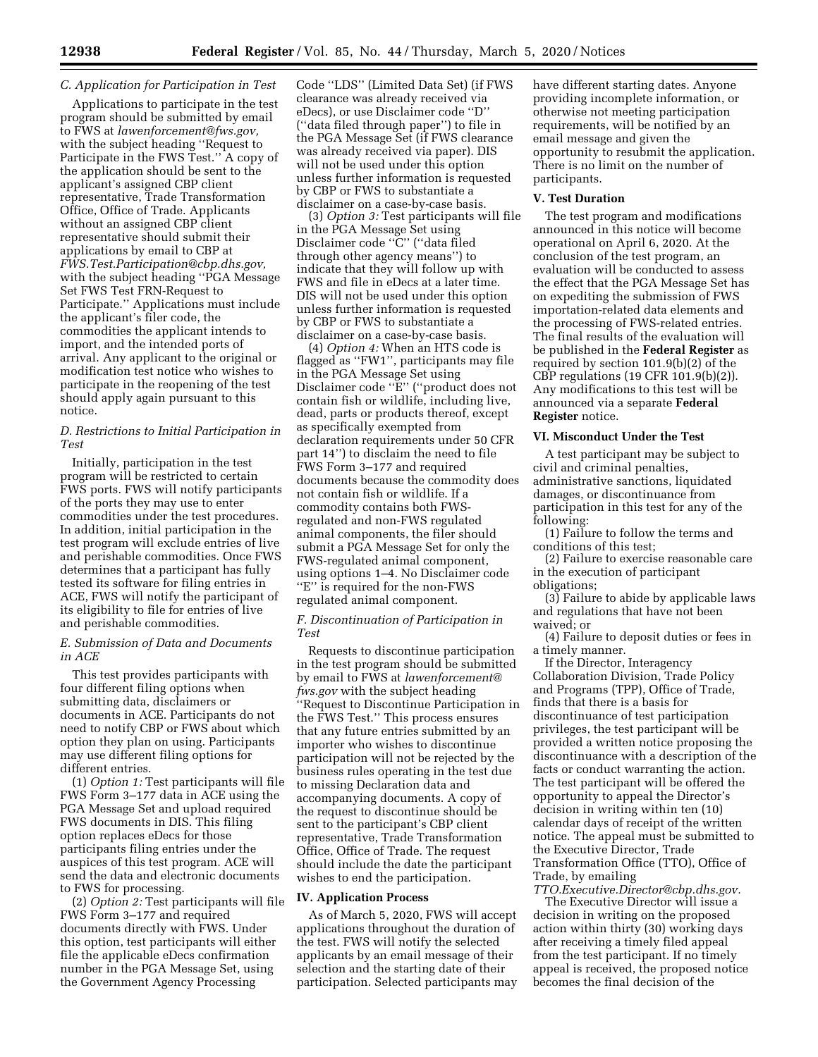## *C. Application for Participation in Test*

Applications to participate in the test program should be submitted by email to FWS at *[lawenforcement@fws.gov,](mailto:lawenforcement@fws.gov)*  with the subject heading ''Request to Participate in the FWS Test.'' A copy of the application should be sent to the applicant's assigned CBP client representative, Trade Transformation Office, Office of Trade. Applicants without an assigned CBP client representative should submit their applications by email to CBP at *[FWS.Test.Participation@cbp.dhs.gov,](mailto:FWS.Test.Participation@cbp.dhs.gov)*  with the subject heading ''PGA Message Set FWS Test FRN-Request to Participate.'' Applications must include the applicant's filer code, the commodities the applicant intends to import, and the intended ports of arrival. Any applicant to the original or modification test notice who wishes to participate in the reopening of the test should apply again pursuant to this notice.

## *D. Restrictions to Initial Participation in Test*

Initially, participation in the test program will be restricted to certain FWS ports. FWS will notify participants of the ports they may use to enter commodities under the test procedures. In addition, initial participation in the test program will exclude entries of live and perishable commodities. Once FWS determines that a participant has fully tested its software for filing entries in ACE, FWS will notify the participant of its eligibility to file for entries of live and perishable commodities.

### *E. Submission of Data and Documents in ACE*

This test provides participants with four different filing options when submitting data, disclaimers or documents in ACE. Participants do not need to notify CBP or FWS about which option they plan on using. Participants may use different filing options for different entries.

(1) *Option 1:* Test participants will file FWS Form 3–177 data in ACE using the PGA Message Set and upload required FWS documents in DIS. This filing option replaces eDecs for those participants filing entries under the auspices of this test program. ACE will send the data and electronic documents to FWS for processing.

(2) *Option 2:* Test participants will file FWS Form 3–177 and required documents directly with FWS. Under this option, test participants will either file the applicable eDecs confirmation number in the PGA Message Set, using the Government Agency Processing

Code ''LDS'' (Limited Data Set) (if FWS clearance was already received via eDecs), or use Disclaimer code ''D'' (''data filed through paper'') to file in the PGA Message Set (if FWS clearance was already received via paper). DIS will not be used under this option unless further information is requested by CBP or FWS to substantiate a disclaimer on a case-by-case basis.

(3) *Option 3:* Test participants will file in the PGA Message Set using Disclaimer code ''C'' (''data filed through other agency means'') to indicate that they will follow up with FWS and file in eDecs at a later time. DIS will not be used under this option unless further information is requested by CBP or FWS to substantiate a disclaimer on a case-by-case basis.

(4) *Option 4:* When an HTS code is flagged as ''FW1'', participants may file in the PGA Message Set using Disclaimer code ''E'' (''product does not contain fish or wildlife, including live, dead, parts or products thereof, except as specifically exempted from declaration requirements under 50 CFR part 14'') to disclaim the need to file FWS Form 3–177 and required documents because the commodity does not contain fish or wildlife. If a commodity contains both FWSregulated and non-FWS regulated animal components, the filer should submit a PGA Message Set for only the FWS-regulated animal component, using options 1–4. No Disclaimer code ''E'' is required for the non-FWS regulated animal component.

## *F. Discontinuation of Participation in Test*

Requests to discontinue participation in the test program should be submitted by email to FWS at *[lawenforcement@](mailto:lawenforcement@fws.gov) [fws.gov](mailto:lawenforcement@fws.gov)* with the subject heading ''Request to Discontinue Participation in the FWS Test.'' This process ensures that any future entries submitted by an importer who wishes to discontinue participation will not be rejected by the business rules operating in the test due to missing Declaration data and accompanying documents. A copy of the request to discontinue should be sent to the participant's CBP client representative, Trade Transformation Office, Office of Trade. The request should include the date the participant wishes to end the participation.

#### **IV. Application Process**

As of March 5, 2020, FWS will accept applications throughout the duration of the test. FWS will notify the selected applicants by an email message of their selection and the starting date of their participation. Selected participants may

have different starting dates. Anyone providing incomplete information, or otherwise not meeting participation requirements, will be notified by an email message and given the opportunity to resubmit the application. There is no limit on the number of participants.

#### **V. Test Duration**

The test program and modifications announced in this notice will become operational on April 6, 2020. At the conclusion of the test program, an evaluation will be conducted to assess the effect that the PGA Message Set has on expediting the submission of FWS importation-related data elements and the processing of FWS-related entries. The final results of the evaluation will be published in the **Federal Register** as required by section 101.9(b)(2) of the CBP regulations (19 CFR 101.9(b)(2)). Any modifications to this test will be announced via a separate **Federal Register** notice.

### **VI. Misconduct Under the Test**

A test participant may be subject to civil and criminal penalties, administrative sanctions, liquidated damages, or discontinuance from participation in this test for any of the following:

(1) Failure to follow the terms and conditions of this test;

(2) Failure to exercise reasonable care in the execution of participant obligations;

(3) Failure to abide by applicable laws and regulations that have not been waived; or

(4) Failure to deposit duties or fees in a timely manner.

If the Director, Interagency Collaboration Division, Trade Policy and Programs (TPP), Office of Trade, finds that there is a basis for discontinuance of test participation privileges, the test participant will be provided a written notice proposing the discontinuance with a description of the facts or conduct warranting the action. The test participant will be offered the opportunity to appeal the Director's decision in writing within ten (10) calendar days of receipt of the written notice. The appeal must be submitted to the Executive Director, Trade Transformation Office (TTO), Office of Trade, by emailing

*[TTO.Executive.Director@cbp.dhs.gov.](mailto:TTO.Executive.Director@cbp.dhs.gov)* 

The Executive Director will issue a decision in writing on the proposed action within thirty (30) working days after receiving a timely filed appeal from the test participant. If no timely appeal is received, the proposed notice becomes the final decision of the